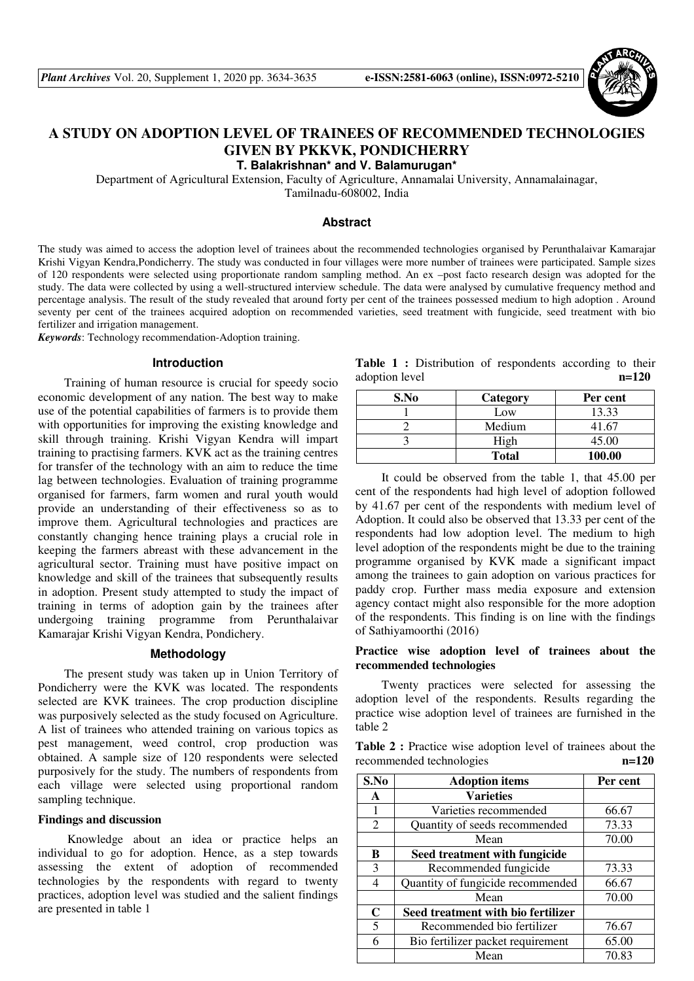

# **A STUDY ON ADOPTION LEVEL OF TRAINEES OF RECOMMENDED TECHNOLOGIES GIVEN BY PKKVK, PONDICHERRY**

**T. Balakrishnan\* and V. Balamurugan\*** 

Department of Agricultural Extension, Faculty of Agriculture, Annamalai University, Annamalainagar, Tamilnadu-608002, India

## **Abstract**

The study was aimed to access the adoption level of trainees about the recommended technologies organised by Perunthalaivar Kamarajar Krishi Vigyan Kendra,Pondicherry. The study was conducted in four villages were more number of trainees were participated. Sample sizes of 120 respondents were selected using proportionate random sampling method. An ex –post facto research design was adopted for the study. The data were collected by using a well-structured interview schedule. The data were analysed by cumulative frequency method and percentage analysis. The result of the study revealed that around forty per cent of the trainees possessed medium to high adoption . Around seventy per cent of the trainees acquired adoption on recommended varieties, seed treatment with fungicide, seed treatment with bio fertilizer and irrigation management.

*Keywords*: Technology recommendation-Adoption training.

#### **Introduction**

Training of human resource is crucial for speedy socio economic development of any nation. The best way to make use of the potential capabilities of farmers is to provide them with opportunities for improving the existing knowledge and skill through training. Krishi Vigyan Kendra will impart training to practising farmers. KVK act as the training centres for transfer of the technology with an aim to reduce the time lag between technologies. Evaluation of training programme organised for farmers, farm women and rural youth would provide an understanding of their effectiveness so as to improve them. Agricultural technologies and practices are constantly changing hence training plays a crucial role in keeping the farmers abreast with these advancement in the agricultural sector. Training must have positive impact on knowledge and skill of the trainees that subsequently results in adoption. Present study attempted to study the impact of training in terms of adoption gain by the trainees after undergoing training programme from Perunthalaivar Kamarajar Krishi Vigyan Kendra, Pondichery.

#### **Methodology**

The present study was taken up in Union Territory of Pondicherry were the KVK was located. The respondents selected are KVK trainees. The crop production discipline was purposively selected as the study focused on Agriculture. A list of trainees who attended training on various topics as pest management, weed control, crop production was obtained. A sample size of 120 respondents were selected purposively for the study. The numbers of respondents from each village were selected using proportional random sampling technique.

## **Findings and discussion**

 Knowledge about an idea or practice helps an individual to go for adoption. Hence, as a step towards assessing the extent of adoption of recommended technologies by the respondents with regard to twenty practices, adoption level was studied and the salient findings are presented in table 1

Table 1 : Distribution of respondents according to their adoption level **n=120**

| S.No | Category     | Per cent |
|------|--------------|----------|
|      | Low          | 13.33    |
|      | Medium       | 41.67    |
|      | High         | 45.00    |
|      | <b>Total</b> | 100.00   |

It could be observed from the table 1, that 45.00 per cent of the respondents had high level of adoption followed by 41.67 per cent of the respondents with medium level of Adoption. It could also be observed that 13.33 per cent of the respondents had low adoption level. The medium to high level adoption of the respondents might be due to the training programme organised by KVK made a significant impact among the trainees to gain adoption on various practices for paddy crop. Further mass media exposure and extension agency contact might also responsible for the more adoption of the respondents. This finding is on line with the findings of Sathiyamoorthi (2016)

# **Practice wise adoption level of trainees about the recommended technologies**

Twenty practices were selected for assessing the adoption level of the respondents. Results regarding the practice wise adoption level of trainees are furnished in the table 2

**Table 2 :** Practice wise adoption level of trainees about the recommended technologies **n=120**

| S.No        | <b>Adoption items</b>              | Per cent |
|-------------|------------------------------------|----------|
| A           | <b>Varieties</b>                   |          |
|             | Varieties recommended              | 66.67    |
| 2           | Quantity of seeds recommended      | 73.33    |
|             | Mean                               | 70.00    |
| B           | Seed treatment with fungicide      |          |
| 3           | Recommended fungicide              | 73.33    |
| 4           | Quantity of fungicide recommended  | 66.67    |
|             | Mean                               | 70.00    |
| $\mathbf C$ | Seed treatment with bio fertilizer |          |
| 5           | Recommended bio fertilizer         | 76.67    |
| 6           | Bio fertilizer packet requirement  | 65.00    |
|             | Mean                               | 70.83    |